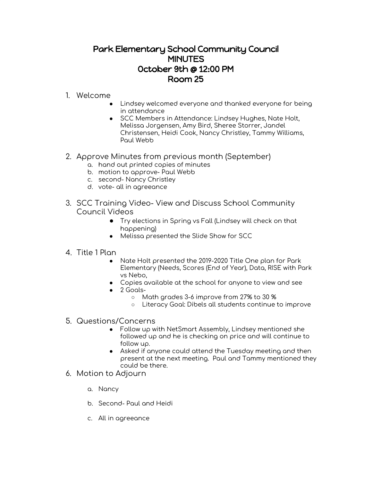## Park Elementary School Community Council **MINUTES** October 9th @ 12:00 PM Room 25

## 1. Welcome

- Lindsey welcomed everyone and thanked everyone for being in attendance
- SCC Members in Attendance: Lindsey Hughes, Nate Holt, Melissa Jorgensen, Amy Bird, Sheree Storrer, Jandel Christensen, Heidi Cook, Nancy Christley, Tammy Williams, Paul Webb
- 2. Approve Minutes from previous month (September)
	- a. hand out printed copies of minutes
	- b. motion to approve- Paul Webb
	- c. second- Nancy Christley
	- d. vote- all in agreeance
- 3. SCC Training Video- View and Discuss School Community Council Videos
	- Try elections in Spring vs Fall (Lindsey will check on that happening)
	- Melissa presented the Slide Show for SCC

## 4. Title 1 Plan

- Nate Holt presented the 2019-2020 Title One plan for Park Elementary (Needs, Scores (End of Year), Data, RISE with Park vs Nebo,
- Copies available at the school for anyone to view and see
- 2 Goals-
	- Math grades 3-6 improve from 27% to 30 %
	- Literacy Goal: Dibels all students continue to improve
- 5. Questions/Concerns
	- Follow up with NetSmart Assembly, Lindsey mentioned she followed up and he is checking on price and will continue to follow up.
	- Asked if anyone could attend the Tuesday meeting and then present at the next meeting. Paul and Tammy mentioned they could be there.
- 6. Motion to Adjourn
	- a. Nancy
	- b. Second- Paul and Heidi
	- c. All in agreeance